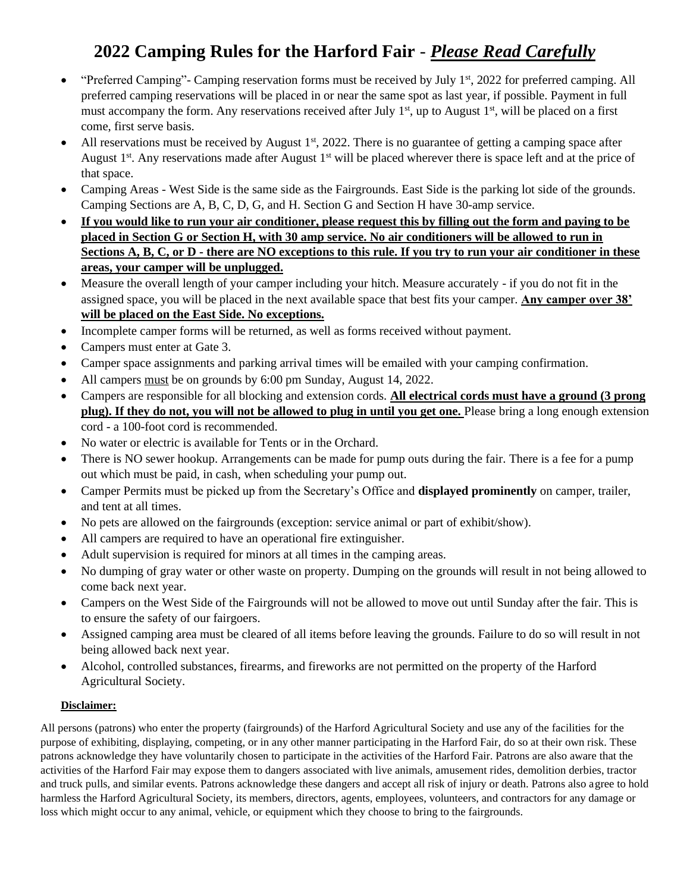## **2022 Camping Rules for the Harford Fair** - *Please Read Carefully*

- "Preferred Camping"- Camping reservation forms must be received by July  $1<sup>st</sup>$ , 2022 for preferred camping. All preferred camping reservations will be placed in or near the same spot as last year, if possible. Payment in full must accompany the form. Any reservations received after July  $1<sup>st</sup>$ , up to August  $1<sup>st</sup>$ , will be placed on a first come, first serve basis.
- All reservations must be received by August  $1<sup>st</sup>$ , 2022. There is no guarantee of getting a camping space after August  $1<sup>st</sup>$ . Any reservations made after August  $1<sup>st</sup>$  will be placed wherever there is space left and at the price of that space.
- Camping Areas West Side is the same side as the Fairgrounds. East Side is the parking lot side of the grounds. Camping Sections are A, B, C, D, G, and H. Section G and Section H have 30-amp service.
- **If you would like to run your air conditioner, please request this by filling out the form and paying to be placed in Section G or Section H, with 30 amp service. No air conditioners will be allowed to run in Sections A, B, C, or D - there are NO exceptions to this rule. If you try to run your air conditioner in these areas, your camper will be unplugged.**
- Measure the overall length of your camper including your hitch. Measure accurately if you do not fit in the assigned space, you will be placed in the next available space that best fits your camper. **Any camper over 38' will be placed on the East Side. No exceptions.**
- Incomplete camper forms will be returned, as well as forms received without payment.
- Campers must enter at Gate 3.
- Camper space assignments and parking arrival times will be emailed with your camping confirmation.
- All campers must be on grounds by 6:00 pm Sunday, August 14, 2022.
- Campers are responsible for all blocking and extension cords. **All electrical cords must have a ground (3 prong plug). If they do not, you will not be allowed to plug in until you get one.** Please bring a long enough extension cord - a 100-foot cord is recommended.
- No water or electric is available for Tents or in the Orchard.
- There is NO sewer hookup. Arrangements can be made for pump outs during the fair. There is a fee for a pump out which must be paid, in cash, when scheduling your pump out.
- Camper Permits must be picked up from the Secretary's Office and **displayed prominently** on camper, trailer, and tent at all times.
- No pets are allowed on the fairgrounds (exception: service animal or part of exhibit/show).
- All campers are required to have an operational fire extinguisher.
- Adult supervision is required for minors at all times in the camping areas.
- No dumping of gray water or other waste on property. Dumping on the grounds will result in not being allowed to come back next year.
- Campers on the West Side of the Fairgrounds will not be allowed to move out until Sunday after the fair. This is to ensure the safety of our fairgoers.
- Assigned camping area must be cleared of all items before leaving the grounds. Failure to do so will result in not being allowed back next year.
- Alcohol, controlled substances, firearms, and fireworks are not permitted on the property of the Harford Agricultural Society.

## **Disclaimer:**

All persons (patrons) who enter the property (fairgrounds) of the Harford Agricultural Society and use any of the facilities for the purpose of exhibiting, displaying, competing, or in any other manner participating in the Harford Fair, do so at their own risk. These patrons acknowledge they have voluntarily chosen to participate in the activities of the Harford Fair. Patrons are also aware that the activities of the Harford Fair may expose them to dangers associated with live animals, amusement rides, demolition derbies, tractor and truck pulls, and similar events. Patrons acknowledge these dangers and accept all risk of injury or death. Patrons also agree to hold harmless the Harford Agricultural Society, its members, directors, agents, employees, volunteers, and contractors for any damage or loss which might occur to any animal, vehicle, or equipment which they choose to bring to the fairgrounds.